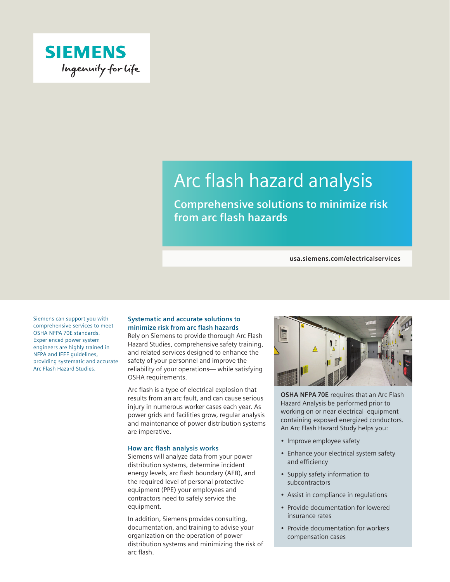

# Arc flash hazard analysis

**Comprehensive solutions to minimize risk from arc flash hazards**

**usa.siemens.com/electricalservices**

Siemens can support you with comprehensive services to meet OSHA NFPA 70E standards. Experienced power system engineers are highly trained in NFPA and IEEE guidelines, providing systematic and accurate Arc Flash Hazard Studies.

# **Systematic and accurate solutions to minimize risk from arc flash hazards**

Rely on Siemens to provide thorough Arc Flash Hazard Studies, comprehensive safety training, and related services designed to enhance the safety of your personnel and improve the reliability of your operations— while satisfying OSHA requirements.

Arc flash is a type of electrical explosion that results from an arc fault, and can cause serious injury in numerous worker cases each year. As power grids and facilities grow, regular analysis and maintenance of power distribution systems are imperative.

#### **How arc flash analysis works**

Siemens will analyze data from your power distribution systems, determine incident energy levels, arc flash boundary (AFB), and the required level of personal protective equipment (PPE) your employees and contractors need to safely service the equipment.

In addition, Siemens provides consulting, documentation, and training to advise your organization on the operation of power distribution systems and minimizing the risk of arc flash.



**OSHA NFPA 70E** requires that an Arc Flash Hazard Analysis be performed prior to working on or near electrical equipment containing exposed energized conductors. An Arc Flash Hazard Study helps you:

- Improve employee safety
- Enhance your electrical system safety and efficiency
- Supply safety information to subcontractors
- Assist in compliance in regulations
- Provide documentation for lowered insurance rates
- Provide documentation for workers compensation cases